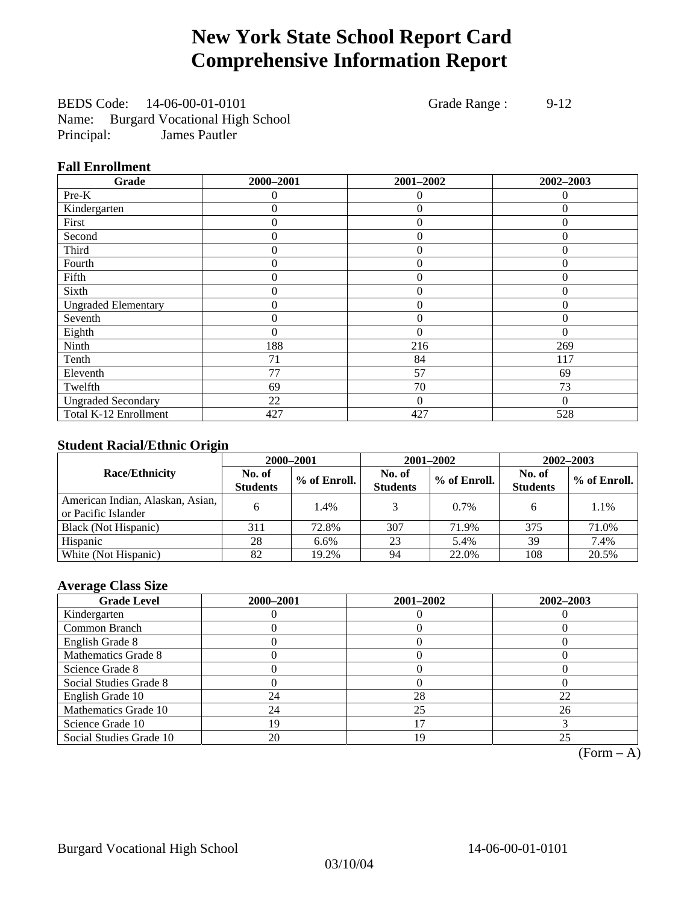## **New York State School Report Card Comprehensive Information Report**

BEDS Code: 14-06-00-01-0101 Grade Range : 9-12 Name: Burgard Vocational High School Principal: James Pautler

### **Fall Enrollment**

| Grade                      | 2000-2001 | 2001-2002      | 2002-2003 |
|----------------------------|-----------|----------------|-----------|
| Pre-K                      | $\Omega$  | $\Omega$       | $\theta$  |
| Kindergarten               | 0         | $\theta$       | $\Omega$  |
| First                      | 0         | $\theta$       | 0         |
| Second                     | 0         | $\theta$       | $\Omega$  |
| Third                      | 0         | $\overline{0}$ | $\Omega$  |
| Fourth                     | 0         | $\overline{0}$ | $\Omega$  |
| Fifth                      | 0         | $\theta$       | $\theta$  |
| Sixth                      | 0         | $\theta$       | $\theta$  |
| <b>Ungraded Elementary</b> | 0         | $\Omega$       | $\Omega$  |
| Seventh                    | 0         | $\mathbf{0}$   | 0         |
| Eighth                     | 0         | $\theta$       | $\Omega$  |
| Ninth                      | 188       | 216            | 269       |
| Tenth                      | 71        | 84             | 117       |
| Eleventh                   | 77        | 57             | 69        |
| Twelfth                    | 69        | 70             | 73        |
| <b>Ungraded Secondary</b>  | 22        | $\Omega$       | $\Omega$  |
| Total K-12 Enrollment      | 427       | 427            | 528       |

## **Student Racial/Ethnic Origin**

|                                                         |                           | 2000-2001<br>2001-2002<br>$2002 - 2003$ |                           |              |                           |                |
|---------------------------------------------------------|---------------------------|-----------------------------------------|---------------------------|--------------|---------------------------|----------------|
| <b>Race/Ethnicity</b>                                   | No. of<br><b>Students</b> | % of Enroll.                            | No. of<br><b>Students</b> | % of Enroll. | No. of<br><b>Students</b> | $%$ of Enroll. |
| American Indian, Alaskan, Asian,<br>or Pacific Islander | h.                        | 1.4%                                    |                           | 0.7%         | 6                         | 1.1%           |
| Black (Not Hispanic)                                    | 311                       | 72.8%                                   | 307                       | 71.9%        | 375                       | 71.0%          |
| Hispanic                                                | 28                        | 6.6%                                    | 23                        | 5.4%         | 39                        | 7.4%           |
| White (Not Hispanic)                                    | 82                        | 19.2%                                   | 94                        | 22.0%        | 108                       | 20.5%          |

## **Average Class Size**

| <b>Grade Level</b>      | 2000-2001 | 2001-2002 | 2002-2003 |
|-------------------------|-----------|-----------|-----------|
| Kindergarten            |           |           |           |
| Common Branch           |           |           |           |
| English Grade 8         |           |           |           |
| Mathematics Grade 8     |           |           |           |
| Science Grade 8         |           |           |           |
| Social Studies Grade 8  |           |           |           |
| English Grade 10        | 24        | 28        | 22        |
| Mathematics Grade 10    | 24        | 25        | 26        |
| Science Grade 10        | 19        |           |           |
| Social Studies Grade 10 | 20        | 19        | 25        |

 $(Form - A)$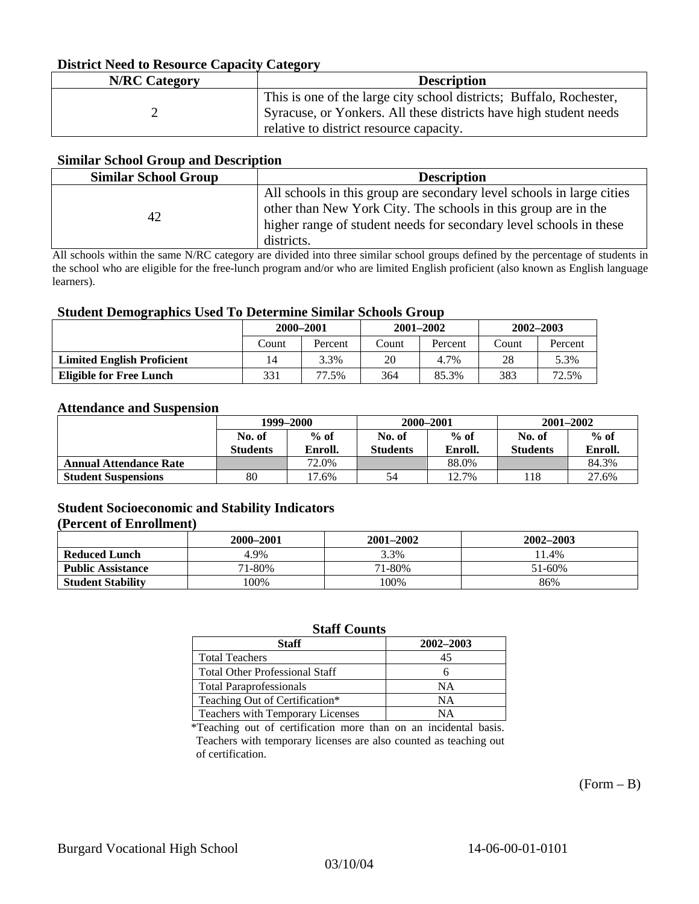### **District Need to Resource Capacity Category**

| <b>N/RC</b> Category | <b>Description</b>                                                  |
|----------------------|---------------------------------------------------------------------|
|                      | This is one of the large city school districts; Buffalo, Rochester, |
|                      | Syracuse, or Yonkers. All these districts have high student needs   |
|                      | relative to district resource capacity.                             |

### **Similar School Group and Description**

| <b>Similar School Group</b> | <b>Description</b>                                                                                                                                                                                                          |
|-----------------------------|-----------------------------------------------------------------------------------------------------------------------------------------------------------------------------------------------------------------------------|
| 42                          | All schools in this group are secondary level schools in large cities<br>other than New York City. The schools in this group are in the<br>higher range of student needs for secondary level schools in these<br>districts. |

All schools within the same N/RC category are divided into three similar school groups defined by the percentage of students in the school who are eligible for the free-lunch program and/or who are limited English proficient (also known as English language learners).

### **Student Demographics Used To Determine Similar Schools Group**

| -                                 | 2000-2001 |         |       | $2001 - 2002$ | 2002–2003 |         |
|-----------------------------------|-----------|---------|-------|---------------|-----------|---------|
|                                   | Count     | Percent | Count | Percent       | Count     | Percent |
| <b>Limited English Proficient</b> | ،4        | 3.3%    | 20    | 4.7%          | 28        | 5.3%    |
| Eligible for Free Lunch           | 331       | 77.5%   | 364   | 85.3%         | 383       | 72.5%   |

### **Attendance and Suspension**

|                               | 1999–2000       |         | 2000-2001       |         | $2001 - 2002$   |         |
|-------------------------------|-----------------|---------|-----------------|---------|-----------------|---------|
|                               | No. of          | $%$ of  | No. of          | $%$ of  | No. of          | $%$ of  |
|                               | <b>Students</b> | Enroll. | <b>Students</b> | Enroll. | <b>Students</b> | Enroll. |
| <b>Annual Attendance Rate</b> |                 | 72.0%   |                 | 88.0%   |                 | 84.3%   |
| <b>Student Suspensions</b>    | 80              | 7.6%    | 54              | 12.7%   | .18             | 27.6%   |

## **Student Socioeconomic and Stability Indicators**

### **(Percent of Enrollment)**

|                          | 2000–2001 | 2001-2002 | 2002-2003 |
|--------------------------|-----------|-----------|-----------|
| <b>Reduced Lunch</b>     | 4.9%      | 3.3%      | 11.4%     |
| <b>Public Assistance</b> | 71-80%    | 71-80%    | 51-60%    |
| <b>Student Stability</b> | $00\%$    | 100%      | 86%       |

## **Staff Counts**

| Staff                                 | 2002-2003 |
|---------------------------------------|-----------|
| <b>Total Teachers</b>                 | 45        |
| <b>Total Other Professional Staff</b> |           |
| <b>Total Paraprofessionals</b>        | NΑ        |
| Teaching Out of Certification*        | NΑ        |
| Teachers with Temporary Licenses      | NΑ        |

\*Teaching out of certification more than on an incidental basis. Teachers with temporary licenses are also counted as teaching out of certification.

 $(Form - B)$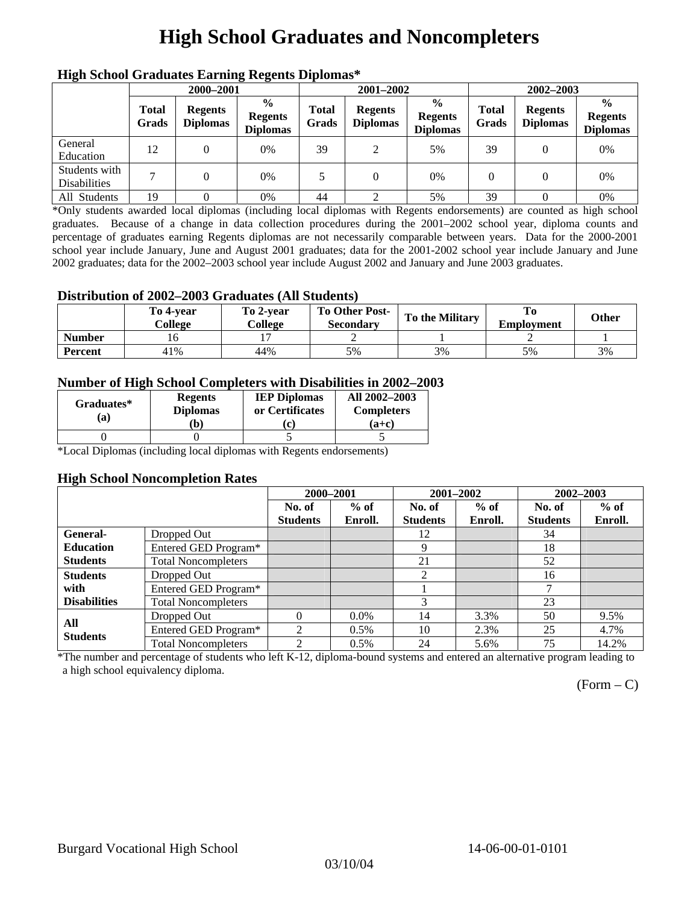## **High School Graduates and Noncompleters**

| ніді эспол этайнакі патінід кеденія вірюшая |                       |                                   |                                                    |                       |                                   |                                                    |                       |                                   |                                                    |  |
|---------------------------------------------|-----------------------|-----------------------------------|----------------------------------------------------|-----------------------|-----------------------------------|----------------------------------------------------|-----------------------|-----------------------------------|----------------------------------------------------|--|
|                                             | 2000-2001             |                                   |                                                    |                       | 2001-2002                         |                                                    |                       | 2002-2003                         |                                                    |  |
|                                             | <b>Total</b><br>Grads | <b>Regents</b><br><b>Diplomas</b> | $\frac{0}{0}$<br><b>Regents</b><br><b>Diplomas</b> | <b>Total</b><br>Grads | <b>Regents</b><br><b>Diplomas</b> | $\frac{6}{6}$<br><b>Regents</b><br><b>Diplomas</b> | <b>Total</b><br>Grads | <b>Regents</b><br><b>Diplomas</b> | $\frac{0}{0}$<br><b>Regents</b><br><b>Diplomas</b> |  |
| General<br>Education                        | 12                    |                                   | 0%                                                 | 39                    | 2                                 | 5%                                                 | 39                    |                                   | 0%                                                 |  |
| Students with<br><b>Disabilities</b>        |                       |                                   | 0%                                                 | 5                     | $\theta$                          | 0%                                                 | $\theta$              |                                   | 0%                                                 |  |
| All Students                                | 19                    |                                   | 0%                                                 | 44                    |                                   | 5%                                                 | 39                    |                                   | 0%                                                 |  |

## **High School Graduates Earning Regents Diplomas\***

\*Only students awarded local diplomas (including local diplomas with Regents endorsements) are counted as high school graduates. Because of a change in data collection procedures during the 2001–2002 school year, diploma counts and percentage of graduates earning Regents diplomas are not necessarily comparable between years. Data for the 2000-2001 school year include January, June and August 2001 graduates; data for the 2001-2002 school year include January and June 2002 graduates; data for the 2002–2003 school year include August 2002 and January and June 2003 graduates.

### **Distribution of 2002–2003 Graduates (All Students)**

|               | To 4-vear<br>College | To 2-vear<br>College | To Other Post-<br>Secondary | To the Military | <b>Employment</b> | Other |
|---------------|----------------------|----------------------|-----------------------------|-----------------|-------------------|-------|
| <b>Number</b> |                      |                      |                             |                 |                   |       |
| Percent       | 41%                  | 44%                  | 5%                          | 3%              | 5%                | 3%    |

### **Number of High School Completers with Disabilities in 2002–2003**

| Graduates*<br>(a) | <b>Regents</b><br><b>Diplomas</b><br>b) | <b>IEP Diplomas</b><br>or Certificates<br>$\mathbf{c}$ | All 2002-2003<br><b>Completers</b><br>$(a+c)$ |
|-------------------|-----------------------------------------|--------------------------------------------------------|-----------------------------------------------|
|                   |                                         |                                                        |                                               |

\*Local Diplomas (including local diplomas with Regents endorsements)

### **High School Noncompletion Rates**

| . .                 |                            | 2000-2001       |         | 2001-2002       |         | 2002-2003       |         |
|---------------------|----------------------------|-----------------|---------|-----------------|---------|-----------------|---------|
|                     |                            | No. of          | $%$ of  | No. of          | $%$ of  | No. of          | $%$ of  |
|                     |                            | <b>Students</b> | Enroll. | <b>Students</b> | Enroll. | <b>Students</b> | Enroll. |
| <b>General-</b>     | Dropped Out                |                 |         | 12              |         | 34              |         |
| <b>Education</b>    | Entered GED Program*       |                 |         | 9               |         | 18              |         |
| <b>Students</b>     | <b>Total Noncompleters</b> |                 |         | 21              |         | 52              |         |
| <b>Students</b>     | Dropped Out                |                 |         | 2               |         | 16              |         |
| with                | Entered GED Program*       |                 |         |                 |         | ┑               |         |
| <b>Disabilities</b> | <b>Total Noncompleters</b> |                 |         |                 |         | 23              |         |
| All                 | Dropped Out                | 0               | $0.0\%$ | 14              | 3.3%    | 50              | 9.5%    |
| <b>Students</b>     | Entered GED Program*       | 2               | $0.5\%$ | 10              | 2.3%    | 25              | 4.7%    |
|                     | <b>Total Noncompleters</b> | $\mathfrak{D}$  | 0.5%    | 24              | 5.6%    | 75              | 14.2%   |

\*The number and percentage of students who left K-12, diploma-bound systems and entered an alternative program leading to a high school equivalency diploma.

 $(Form - C)$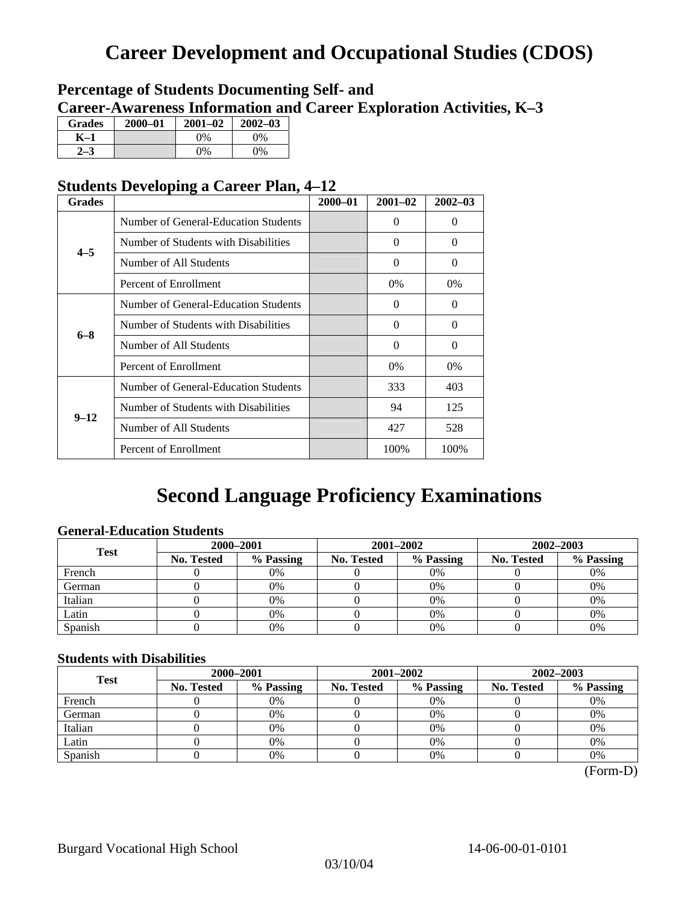## **Career Development and Occupational Studies (CDOS)**

## **Percentage of Students Documenting Self- and Career-Awareness Information and Career Exploration Activities, K–3**

| <b>Grades</b> | 2000-01 | $2001 - 02$ | $2002 - 03$ |
|---------------|---------|-------------|-------------|
| K–1           |         | $0\%$       | $0\%$       |
|               |         | $0\%$       | 9%          |

## **Students Developing a Career Plan, 4–12**

| <b>Grades</b>      |                                      | $2000 - 01$ | $2001 - 02$ | $2002 - 03$ |
|--------------------|--------------------------------------|-------------|-------------|-------------|
|                    | Number of General-Education Students |             | 0           | $\Omega$    |
| $4 - 5$<br>$6 - 8$ | Number of Students with Disabilities |             | $\Omega$    | $\Omega$    |
|                    | Number of All Students               |             | $\Omega$    | $\Omega$    |
|                    | Percent of Enrollment                |             | $0\%$       | $0\%$       |
|                    | Number of General-Education Students |             | $\Omega$    | $\Omega$    |
|                    | Number of Students with Disabilities |             | $\Omega$    | $\Omega$    |
|                    | Number of All Students               |             | $\theta$    | $\Omega$    |
| $9 - 12$           | Percent of Enrollment                |             | 0%          | 0%          |
|                    | Number of General-Education Students |             | 333         | 403         |
|                    | Number of Students with Disabilities |             | 94          | 125         |
|                    | Number of All Students               |             | 427         | 528         |
|                    | Percent of Enrollment                |             | 100%        | 100%        |

## **Second Language Proficiency Examinations**

## **General-Education Students**

| <b>Test</b> | 2000-2001         |           |            |                                                                        | 2002-2003 |    |  |
|-------------|-------------------|-----------|------------|------------------------------------------------------------------------|-----------|----|--|
|             | <b>No. Tested</b> | % Passing | No. Tested | 2001-2002<br>% Passing<br><b>No. Tested</b><br>$0\%$<br>0%<br>0%<br>0% | % Passing |    |  |
| French      |                   | 0%        |            |                                                                        |           | 0% |  |
| German      |                   | 0%        |            |                                                                        |           | 0% |  |
| Italian     |                   | 0%        |            |                                                                        |           | 0% |  |
| Latin       |                   | 0%        |            |                                                                        |           | 0% |  |
| Spanish     |                   | 0%        |            | 0%                                                                     |           | 0% |  |

### **Students with Disabilities**

| <b>Test</b> | 2000-2001         |           |                                                                                      |           | 2002-2003 |    |  |
|-------------|-------------------|-----------|--------------------------------------------------------------------------------------|-----------|-----------|----|--|
|             | <b>No. Tested</b> | % Passing | 2001-2002<br>% Passing<br>No. Tested<br><b>No. Tested</b><br>0%<br>0%<br>0%<br>$0\%$ | % Passing |           |    |  |
| French      |                   | 0%        |                                                                                      |           |           | 0% |  |
| German      |                   | 0%        |                                                                                      |           |           | 0% |  |
| Italian     |                   | 0%        |                                                                                      |           |           | 0% |  |
| Latin       |                   | 0%        |                                                                                      |           |           | 0% |  |
| Spanish     |                   | 0%        |                                                                                      | 0%        |           | 0% |  |

 <sup>(</sup>Form-D)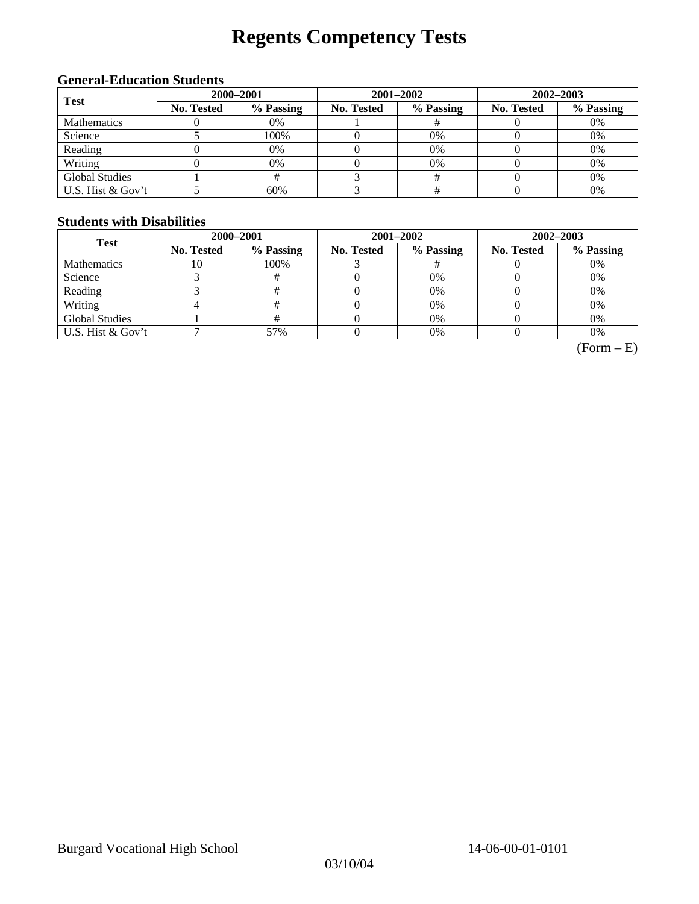# **Regents Competency Tests**

## **General-Education Students**

| <b>Test</b>           | 2000-2001         |           |            | $2001 - 2002$ | $2002 - 2003$     |           |  |
|-----------------------|-------------------|-----------|------------|---------------|-------------------|-----------|--|
|                       | <b>No. Tested</b> | % Passing | No. Tested | % Passing     | <b>No. Tested</b> | % Passing |  |
| Mathematics           |                   | 0%        |            |               |                   | 0%        |  |
| Science               |                   | 100%      |            | 0%            |                   | 0%        |  |
| Reading               |                   | 0%        |            | $0\%$         |                   | 0%        |  |
| Writing               |                   | 0%        |            | 0%            |                   | 0%        |  |
| <b>Global Studies</b> |                   |           |            |               |                   | 0%        |  |
| U.S. Hist & Gov't     |                   | 60%       |            |               |                   | 0%        |  |

## **Students with Disabilities**

| <b>Test</b>           | 2000-2001         |                                                                                     | 2001-2002 | 2002-2003 |    |  |
|-----------------------|-------------------|-------------------------------------------------------------------------------------|-----------|-----------|----|--|
|                       | <b>No. Tested</b> | % Passing<br>% Passing<br>No. Tested<br><b>No. Tested</b><br>100%<br>0%<br>0%<br>0% | % Passing |           |    |  |
| <b>Mathematics</b>    | 10                |                                                                                     |           |           | 0% |  |
| Science               |                   |                                                                                     |           |           | 0% |  |
| Reading               |                   |                                                                                     |           |           | 0% |  |
| Writing               |                   |                                                                                     |           |           | 0% |  |
| <b>Global Studies</b> |                   |                                                                                     | 0%        |           | 0% |  |
| U.S. Hist & Gov't     |                   | 57%                                                                                 | 0%        |           | 0% |  |

 $(Form - E)$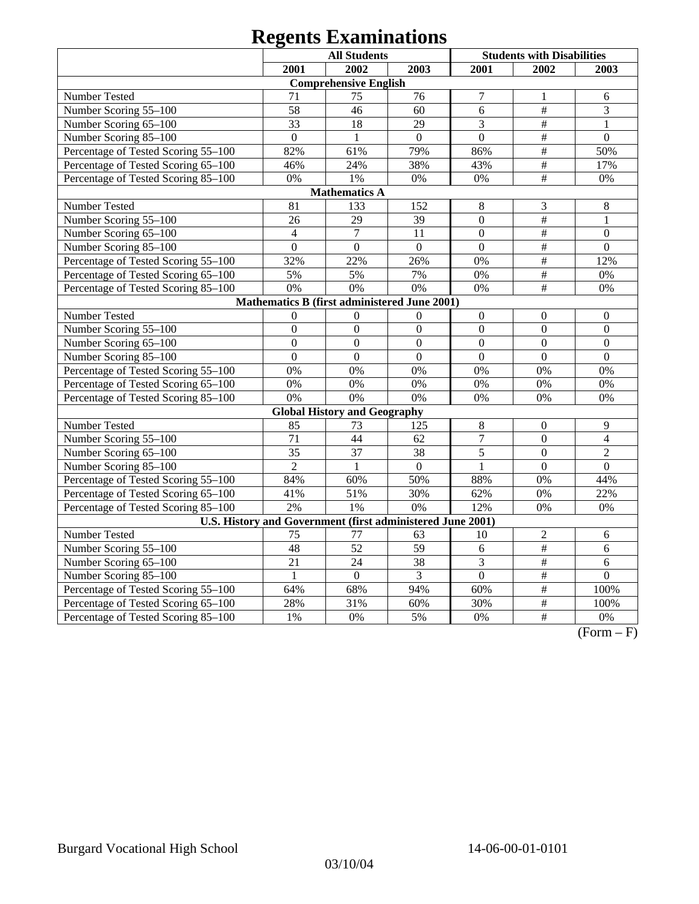# **Regents Examinations**

|                                                            |                  | <b>All Students</b>                 |                |                  | <b>Students with Disabilities</b> |                  |
|------------------------------------------------------------|------------------|-------------------------------------|----------------|------------------|-----------------------------------|------------------|
|                                                            | 2001             | 2002                                | 2003           | 2001             | 2002                              | 2003             |
|                                                            |                  | <b>Comprehensive English</b>        |                |                  |                                   |                  |
| Number Tested                                              | 71               | 75                                  | 76             | $\overline{7}$   | 1                                 | 6                |
| Number Scoring 55-100                                      | 58               | 46                                  | 60             | 6                | $\#$                              | 3                |
| Number Scoring 65-100                                      | 33               | 18                                  | 29             | 3                | $\#$                              | $\mathbf{1}$     |
| Number Scoring 85-100                                      | $\overline{0}$   | $\mathbf{1}$                        | $\overline{0}$ | $\overline{0}$   | $\overline{\#}$                   | $\overline{0}$   |
| Percentage of Tested Scoring 55-100                        | 82%              | 61%                                 | 79%            | 86%              | $\#$                              | 50%              |
| Percentage of Tested Scoring 65-100                        | 46%              | 24%                                 | 38%            | 43%              | $\#$                              | 17%              |
| Percentage of Tested Scoring 85-100                        | 0%               | 1%                                  | 0%             | $0\%$            | $\#$                              | $0\%$            |
|                                                            |                  | <b>Mathematics A</b>                |                |                  |                                   |                  |
| Number Tested                                              | 81               | 133                                 | 152            | 8                | $\mathfrak{Z}$                    | 8                |
| Number Scoring 55-100                                      | 26               | 29                                  | 39             | $\boldsymbol{0}$ | $\#$                              | $\mathbf{1}$     |
| Number Scoring 65-100                                      | $\overline{4}$   | $\boldsymbol{7}$                    | 11             | $\boldsymbol{0}$ | $\#$                              | $\Omega$         |
| Number Scoring 85-100                                      | $\overline{0}$   | $\mathbf{0}$                        | $\mathbf{0}$   | $\overline{0}$   | $\frac{1}{2}$                     | $\overline{0}$   |
| Percentage of Tested Scoring 55-100                        | 32%              | 22%                                 | 26%            | 0%               | $\#$                              | 12%              |
| Percentage of Tested Scoring 65-100                        | 5%               | 5%                                  | 7%             | 0%               | $\#$                              | 0%               |
| Percentage of Tested Scoring 85-100                        | 0%               | 0%                                  | 0%             | 0%               | #                                 | 0%               |
| Mathematics B (first administered June 2001)               |                  |                                     |                |                  |                                   |                  |
| Number Tested                                              | $\mathbf{0}$     | $\mathbf{0}$                        | $\mathbf{0}$   | $\overline{0}$   | $\mathbf{0}$                      | $\overline{0}$   |
| Number Scoring 55-100                                      | $\boldsymbol{0}$ | $\boldsymbol{0}$                    | $\overline{0}$ | $\overline{0}$   | $\overline{0}$                    | $\boldsymbol{0}$ |
| Number Scoring 65-100                                      | $\overline{0}$   | $\overline{0}$                      | $\mathbf{0}$   | $\overline{0}$   | $\overline{0}$                    | $\overline{0}$   |
| Number Scoring 85-100                                      | $\mathbf{0}$     | $\boldsymbol{0}$                    | $\mathbf{0}$   | $\overline{0}$   | $\overline{0}$                    | $\overline{0}$   |
| Percentage of Tested Scoring 55-100                        | 0%               | 0%                                  | 0%             | 0%               | 0%                                | 0%               |
| Percentage of Tested Scoring 65-100                        | 0%               | 0%                                  | 0%             | 0%               | 0%                                | 0%               |
| Percentage of Tested Scoring 85-100                        | 0%               | 0%                                  | 0%             | 0%               | 0%                                | 0%               |
|                                                            |                  | <b>Global History and Geography</b> |                |                  |                                   |                  |
| Number Tested                                              | 85               | 73                                  | 125            | $8\,$            | $\boldsymbol{0}$                  | 9                |
| Number Scoring 55-100                                      | 71               | 44                                  | 62             | $\overline{7}$   | $\overline{0}$                    | $\overline{4}$   |
| Number Scoring 65-100                                      | 35               | 37                                  | 38             | 5                | $\mathbf{0}$                      | $\overline{2}$   |
| Number Scoring 85-100                                      | $\overline{2}$   | $\mathbf{1}$                        | $\Omega$       | $\mathbf{1}$     | $\mathbf{0}$                      | $\Omega$         |
| Percentage of Tested Scoring 55-100                        | 84%              | 60%                                 | 50%            | 88%              | 0%                                | 44%              |
| Percentage of Tested Scoring 65-100                        | 41%              | 51%                                 | 30%            | 62%              | 0%                                | 22%              |
| Percentage of Tested Scoring 85-100                        | 2%               | 1%                                  | 0%             | 12%              | 0%                                | 0%               |
| U.S. History and Government (first administered June 2001) |                  |                                     |                |                  |                                   |                  |
| Number Tested                                              | 75               | 77                                  | 63             | 10               | $\sqrt{2}$                        | 6                |
| Number Scoring 55-100                                      | 48               | 52                                  | 59             | 6                | #                                 | $\overline{6}$   |
| Number Scoring 65-100                                      | 21               | 24                                  | 38             | 3                | $\#$                              | 6                |
| Number Scoring 85-100                                      | $\mathbf{1}$     | $\mathbf{0}$                        | 3              | $\overline{0}$   | $\frac{1}{2}$                     | $\overline{0}$   |
| Percentage of Tested Scoring 55-100                        | 64%              | 68%                                 | 94%            | 60%              | $\overline{\#}$                   | 100%             |
| Percentage of Tested Scoring 65-100                        | 28%              | 31%                                 | 60%            | 30%              | $\frac{1}{2}$                     | 100%             |
| Percentage of Tested Scoring 85-100                        | 1%               | 0%                                  | 5%             | 0%               | $\overline{\#}$                   | 0%               |

 $(Form - F)$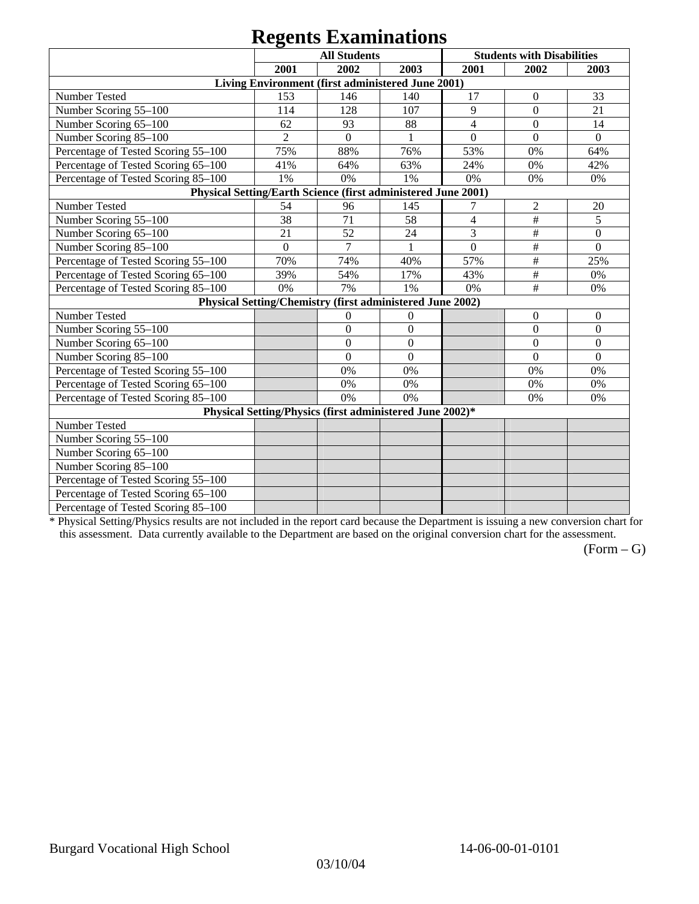## **Regents Examinations**

|                                                               |                | $\sum_{i=1}^{n}$<br><b>All Students</b>                   |                |                  | <b>Students with Disabilities</b> |                  |
|---------------------------------------------------------------|----------------|-----------------------------------------------------------|----------------|------------------|-----------------------------------|------------------|
|                                                               | 2001           | 2002                                                      | 2003           | 2001             | 2002                              | 2003             |
|                                                               |                | Living Environment (first administered June 2001)         |                |                  |                                   |                  |
| Number Tested                                                 | 153            | 146                                                       | 140            | 17               | $\boldsymbol{0}$                  | 33               |
| Number Scoring 55-100                                         | 114            | 128                                                       | 107            | 9                | $\overline{0}$                    | 21               |
| Number Scoring 65-100                                         | 62             | 93                                                        | 88             | $\overline{4}$   | $\mathbf{0}$                      | 14               |
| Number Scoring 85-100                                         | $\overline{2}$ | $\overline{0}$                                            |                | $\overline{0}$   | $\overline{0}$                    | $\overline{0}$   |
| Percentage of Tested Scoring 55-100                           | 75%            | 88%                                                       | 76%            | 53%              | 0%                                | 64%              |
| Percentage of Tested Scoring 65-100                           | 41%            | 64%                                                       | 63%            | 24%              | 0%                                | 42%              |
| Percentage of Tested Scoring 85-100                           | 1%             | 0%                                                        | 1%             | 0%               | 0%                                | 0%               |
| Physical Setting/Earth Science (first administered June 2001) |                |                                                           |                |                  |                                   |                  |
| Number Tested                                                 | 54             | 96                                                        | 145            | 7                | $\overline{2}$                    | 20               |
| Number Scoring 55-100                                         | 38             | 71                                                        | 58             | $\overline{4}$   | $\overline{\#}$                   | 5                |
| Number Scoring 65-100                                         | 21             | 52                                                        | 24             | 3                | $\#$                              | $\boldsymbol{0}$ |
| Number Scoring 85-100                                         | $\mathbf{0}$   | 7                                                         | 1              | $\boldsymbol{0}$ | $\#$                              | $\boldsymbol{0}$ |
| Percentage of Tested Scoring 55-100                           | 70%            | 74%                                                       | 40%            | 57%              | $\#$                              | 25%              |
| Percentage of Tested Scoring 65-100                           | 39%            | 54%                                                       | 17%            | 43%              | $\#$                              | 0%               |
| Percentage of Tested Scoring 85-100                           | 0%             | 7%                                                        | 1%             | 0%               | #                                 | 0%               |
|                                                               |                | Physical Setting/Chemistry (first administered June 2002) |                |                  |                                   |                  |
| Number Tested                                                 |                | $\theta$                                                  | $\mathbf{0}$   |                  | $\theta$                          | $\boldsymbol{0}$ |
| Number Scoring 55-100                                         |                | $\overline{0}$                                            | $\overline{0}$ |                  | $\overline{0}$                    | $\overline{0}$   |
| Number Scoring 65-100                                         |                | $\mathbf{0}$                                              | $\mathbf{0}$   |                  | $\boldsymbol{0}$                  | $\boldsymbol{0}$ |
| Number Scoring 85-100                                         |                | $\overline{0}$                                            | $\overline{0}$ |                  | $\overline{0}$                    | $\overline{0}$   |
| Percentage of Tested Scoring 55-100                           |                | 0%                                                        | 0%             |                  | 0%                                | 0%               |
| Percentage of Tested Scoring 65-100                           |                | 0%                                                        | 0%             |                  | 0%                                | 0%               |
| Percentage of Tested Scoring 85-100                           |                | 0%                                                        | 0%             |                  | 0%                                | 0%               |
|                                                               |                | Physical Setting/Physics (first administered June 2002)*  |                |                  |                                   |                  |
| Number Tested                                                 |                |                                                           |                |                  |                                   |                  |
| Number Scoring 55-100                                         |                |                                                           |                |                  |                                   |                  |
| Number Scoring 65-100                                         |                |                                                           |                |                  |                                   |                  |
| Number Scoring 85-100                                         |                |                                                           |                |                  |                                   |                  |
| Percentage of Tested Scoring 55-100                           |                |                                                           |                |                  |                                   |                  |
| Percentage of Tested Scoring 65-100                           |                |                                                           |                |                  |                                   |                  |
| Percentage of Tested Scoring 85-100                           |                |                                                           |                |                  |                                   |                  |

\* Physical Setting/Physics results are not included in the report card because the Department is issuing a new conversion chart for this assessment. Data currently available to the Department are based on the original conversion chart for the assessment.

 $(Form - G)$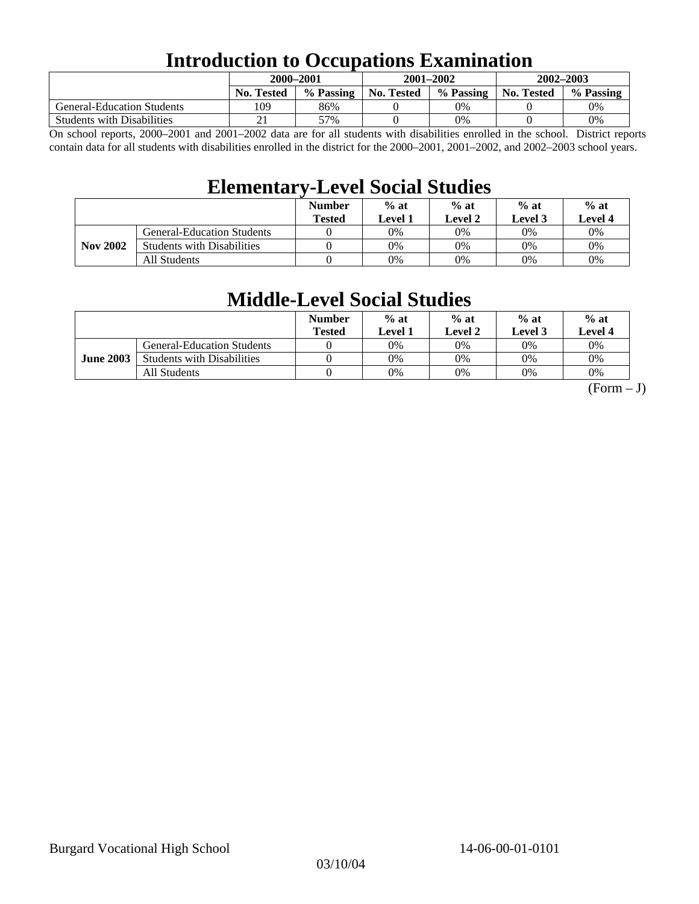## **Introduction to Occupations Examination**

|                                   | 2000-2001         |           | $2001 - 2002$ |           | 2002-2003  |           |
|-----------------------------------|-------------------|-----------|---------------|-----------|------------|-----------|
|                                   | <b>No. Tested</b> | % Passing | No. Tested    | % Passing | No. Tested | % Passing |
| <b>General-Education Students</b> | 109               | 86%       |               | 0%        |            | $0\%$     |
| <b>Students with Disabilities</b> |                   | 57%       |               | 0%        |            | 0%        |

On school reports, 2000–2001 and 2001–2002 data are for all students with disabilities enrolled in the school. District reports contain data for all students with disabilities enrolled in the district for the 2000–2001, 2001–2002, and 2002–2003 school years.

## **Elementary-Level Social Studies**

|                 |                                   | <b>Number</b><br><b>Tested</b> | $%$ at<br>Level 1 | $%$ at<br>Level 2 | $%$ at<br>Level 3 | $%$ at<br><b>Level 4</b> |
|-----------------|-----------------------------------|--------------------------------|-------------------|-------------------|-------------------|--------------------------|
|                 | <b>General-Education Students</b> |                                | 0%                | 0%                | 0%                | 0%                       |
| <b>Nov 2002</b> | <b>Students with Disabilities</b> |                                | 0%                | 0%                | 0%                | 0%                       |
|                 | All Students                      |                                | 0%                | 0%                | 0%                | $0\%$                    |

## **Middle-Level Social Studies**

|                  |                                   | <b>Number</b><br>Tested | $%$ at<br>evel 1. | $%$ at<br>Level 2 | $%$ at<br>Level 3 | $%$ at<br>Level 4 |
|------------------|-----------------------------------|-------------------------|-------------------|-------------------|-------------------|-------------------|
|                  | <b>General-Education Students</b> |                         | 0%                | 0%                | $0\%$             | $0\%$             |
| <b>June 2003</b> | <b>Students with Disabilities</b> |                         | 0%                | 0%                | 0%                | 0%                |
|                  | All Students                      |                         | 0%                | 0%                | 0%                | 0%                |

 $(Form - J)$